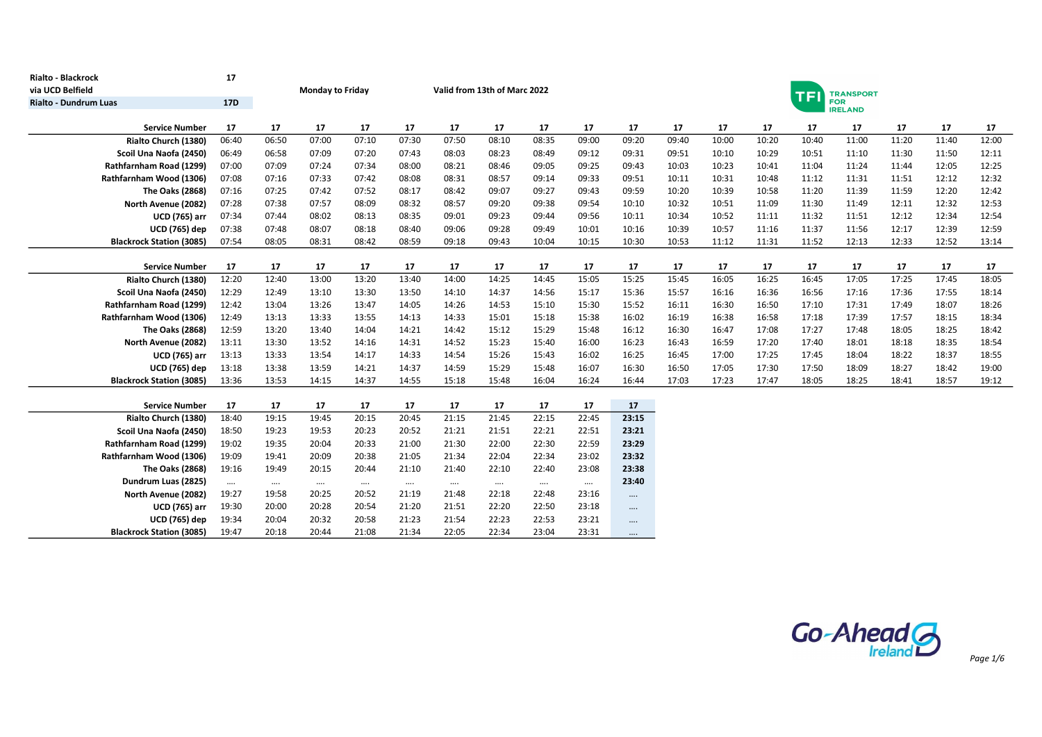| <b>Rialto - Blackrock</b>                               | 17         |          |                         |          |          |                              |          |          |          |          |       |       |       |            |                              |       |       |       |
|---------------------------------------------------------|------------|----------|-------------------------|----------|----------|------------------------------|----------|----------|----------|----------|-------|-------|-------|------------|------------------------------|-------|-------|-------|
| via UCD Belfield                                        |            |          | <b>Monday to Friday</b> |          |          | Valid from 13th of Marc 2022 |          |          |          |          |       |       |       | <b>TFI</b> | <b>TRANSPORT</b>             |       |       |       |
| <b>Rialto - Dundrum Luas</b>                            | <b>17D</b> |          |                         |          |          |                              |          |          |          |          |       |       |       |            | <b>FOR</b><br><b>IRELAND</b> |       |       |       |
| <b>Service Number</b>                                   | 17         | 17       | 17                      | 17       | 17       | 17                           | 17       | 17       | 17       | 17       | 17    | 17    | 17    | 17         | 17                           | 17    | 17    | 17    |
| Rialto Church (1380)                                    | 06:40      | 06:50    | 07:00                   | 07:10    | 07:30    | 07:50                        | 08:10    | 08:35    | 09:00    | 09:20    | 09:40 | 10:00 | 10:20 | 10:40      | 11:00                        | 11:20 | 11:40 | 12:00 |
| Scoil Una Naofa (2450)                                  | 06:49      | 06:58    | 07:09                   | 07:20    | 07:43    | 08:03                        | 08:23    | 08:49    | 09:12    | 09:31    | 09:51 | 10:10 | 10:29 | 10:51      | 11:10                        | 11:30 | 11:50 | 12:11 |
| Rathfarnham Road (1299)                                 | 07:00      | 07:09    | 07:24                   | 07:34    | 08:00    | 08:21                        | 08:46    | 09:05    | 09:25    | 09:43    | 10:03 | 10:23 | 10:41 | 11:04      | 11:24                        | 11:44 | 12:05 | 12:25 |
| Rathfarnham Wood (1306)                                 | 07:08      | 07:16    | 07:33                   | 07:42    | 08:08    | 08:31                        | 08:57    | 09:14    | 09:33    | 09:51    | 10:11 | 10:31 | 10:48 | 11:12      | 11:31                        | 11:51 | 12:12 | 12:32 |
| The Oaks (2868)                                         | 07:16      | 07:25    | 07:42                   | 07:52    | 08:17    | 08:42                        | 09:07    | 09:27    | 09:43    | 09:59    | 10:20 | 10:39 | 10:58 | 11:20      | 11:39                        | 11:59 | 12:20 | 12:42 |
| North Avenue (2082)                                     | 07:28      | 07:38    | 07:57                   | 08:09    | 08:32    | 08:57                        | 09:20    | 09:38    | 09:54    | 10:10    | 10:32 | 10:51 | 11:09 | 11:30      | 11:49                        | 12:11 | 12:32 | 12:53 |
| <b>UCD (765) arr</b>                                    | 07:34      | 07:44    | 08:02                   | 08:13    | 08:35    | 09:01                        | 09:23    | 09:44    | 09:56    | 10:11    | 10:34 | 10:52 | 11:11 | 11:32      | 11:51                        | 12:12 | 12:34 | 12:54 |
| <b>UCD (765) dep</b>                                    | 07:38      | 07:48    | 08:07                   | 08:18    | 08:40    | 09:06                        | 09:28    | 09:49    | 10:01    | 10:16    | 10:39 | 10:57 | 11:16 | 11:37      | 11:56                        | 12:17 | 12:39 | 12:59 |
| <b>Blackrock Station (3085)</b>                         | 07:54      | 08:05    | 08:31                   | 08:42    | 08:59    | 09:18                        | 09:43    | 10:04    | 10:15    | 10:30    | 10:53 | 11:12 | 11:31 | 11:52      | 12:13                        | 12:33 | 12:52 | 13:14 |
|                                                         |            |          |                         |          |          |                              |          |          |          |          |       |       |       |            |                              |       |       |       |
| <b>Service Number</b>                                   | 17         | 17       | 17                      | 17       | 17       | 17                           | 17       | 17       | 17       | 17       | 17    | 17    | 17    | 17         | 17                           | 17    | 17    | 17    |
| Rialto Church (1380)                                    | 12:20      | 12:40    | 13:00                   | 13:20    | 13:40    | 14:00                        | 14:25    | 14:45    | 15:05    | 15:25    | 15:45 | 16:05 | 16:25 | 16:45      | 17:05                        | 17:25 | 17:45 | 18:05 |
| Scoil Una Naofa (2450)                                  | 12:29      | 12:49    | 13:10                   | 13:30    | 13:50    | 14:10                        | 14:37    | 14:56    | 15:17    | 15:36    | 15:57 | 16:16 | 16:36 | 16:56      | 17:16                        | 17:36 | 17:55 | 18:14 |
| Rathfarnham Road (1299)                                 | 12:42      | 13:04    | 13:26                   | 13:47    | 14:05    | 14:26                        | 14:53    | 15:10    | 15:30    | 15:52    | 16:11 | 16:30 | 16:50 | 17:10      | 17:31                        | 17:49 | 18:07 | 18:26 |
| Rathfarnham Wood (1306)                                 | 12:49      | 13:13    | 13:33                   | 13:55    | 14:13    | 14:33                        | 15:01    | 15:18    | 15:38    | 16:02    | 16:19 | 16:38 | 16:58 | 17:18      | 17:39                        | 17:57 | 18:15 | 18:34 |
| The Oaks (2868)                                         | 12:59      | 13:20    | 13:40                   | 14:04    | 14:21    | 14:42                        | 15:12    | 15:29    | 15:48    | 16:12    | 16:30 | 16:47 | 17:08 | 17:27      | 17:48                        | 18:05 | 18:25 | 18:42 |
| North Avenue (2082)                                     | 13:11      | 13:30    | 13:52                   | 14:16    | 14:31    | 14:52                        | 15:23    | 15:40    | 16:00    | 16:23    | 16:43 | 16:59 | 17:20 | 17:40      | 18:01                        | 18:18 | 18:35 | 18:54 |
| <b>UCD (765) arr</b>                                    | 13:13      | 13:33    | 13:54                   | 14:17    | 14:33    | 14:54                        | 15:26    | 15:43    | 16:02    | 16:25    | 16:45 | 17:00 | 17:25 | 17:45      | 18:04                        | 18:22 | 18:37 | 18:55 |
| <b>UCD (765) dep</b><br><b>Blackrock Station (3085)</b> | 13:18      | 13:38    | 13:59                   | 14:21    | 14:37    | 14:59                        | 15:29    | 15:48    | 16:07    | 16:30    | 16:50 | 17:05 | 17:30 | 17:50      | 18:09                        | 18:27 | 18:42 | 19:00 |
|                                                         | 13:36      | 13:53    | 14:15                   | 14:37    | 14:55    | 15:18                        | 15:48    | 16:04    | 16:24    | 16:44    | 17:03 | 17:23 | 17:47 | 18:05      | 18:25                        | 18:41 | 18:57 | 19:12 |
| <b>Service Number</b>                                   | 17         | 17       | 17                      | 17       | 17       | 17                           | 17       | 17       | 17       | 17       |       |       |       |            |                              |       |       |       |
| Rialto Church (1380)                                    | 18:40      | 19:15    | 19:45                   | 20:15    | 20:45    | 21:15                        | 21:45    | 22:15    | 22:45    | 23:15    |       |       |       |            |                              |       |       |       |
| Scoil Una Naofa (2450)                                  | 18:50      | 19:23    | 19:53                   | 20:23    | 20:52    | 21:21                        | 21:51    | 22:21    | 22:51    | 23:21    |       |       |       |            |                              |       |       |       |
| Rathfarnham Road (1299)                                 | 19:02      | 19:35    | 20:04                   | 20:33    | 21:00    | 21:30                        | 22:00    | 22:30    | 22:59    | 23:29    |       |       |       |            |                              |       |       |       |
| Rathfarnham Wood (1306)                                 | 19:09      | 19:41    | 20:09                   | 20:38    | 21:05    | 21:34                        | 22:04    | 22:34    | 23:02    | 23:32    |       |       |       |            |                              |       |       |       |
| The Oaks (2868)                                         | 19:16      | 19:49    | 20:15                   | 20:44    | 21:10    | 21:40                        | 22:10    | 22:40    | 23:08    | 23:38    |       |       |       |            |                              |       |       |       |
| Dundrum Luas (2825)                                     | $\cdots$   | $\cdots$ | $\cdots$                | $\cdots$ | $\cdots$ | $\cdots$                     | $\cdots$ | $\cdots$ | $\cdots$ | 23:40    |       |       |       |            |                              |       |       |       |
| North Avenue (2082)                                     | 19:27      | 19:58    | 20:25                   | 20:52    | 21:19    | 21:48                        | 22:18    | 22:48    | 23:16    | $\cdots$ |       |       |       |            |                              |       |       |       |
| <b>UCD (765) arr</b>                                    | 19:30      | 20:00    | 20:28                   | 20:54    | 21:20    | 21:51                        | 22:20    | 22:50    | 23:18    | $\cdots$ |       |       |       |            |                              |       |       |       |
| <b>UCD (765) dep</b>                                    | 19:34      | 20:04    | 20:32                   | 20:58    | 21:23    | 21:54                        | 22:23    | 22:53    | 23:21    | $\cdots$ |       |       |       |            |                              |       |       |       |
| <b>Blackrock Station (3085)</b>                         | 19:47      | 20:18    | 20:44                   | 21:08    | 21:34    | 22:05                        | 22:34    | 23:04    | 23:31    | $\cdots$ |       |       |       |            |                              |       |       |       |

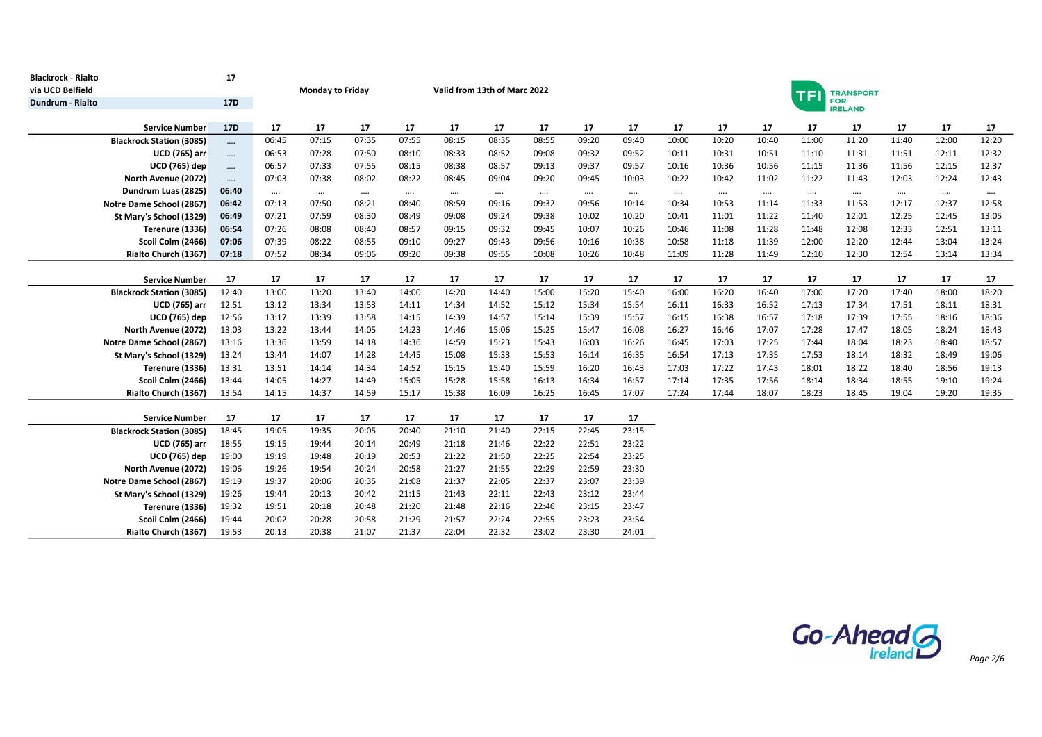| <b>Blackrock - Rialto</b><br>via UCD Belfield | 17         |          | <b>Monday to Friday</b> |          |          |          | Valid from 13th of Marc 2022 |          |          |          | <b>TRANSPORT</b><br><b>TF</b> |          |          |          |          |          |          |          |  |  |  |
|-----------------------------------------------|------------|----------|-------------------------|----------|----------|----------|------------------------------|----------|----------|----------|-------------------------------|----------|----------|----------|----------|----------|----------|----------|--|--|--|
| Dundrum - Rialto                              | <b>17D</b> |          |                         |          |          |          |                              |          |          |          | <b>FOR</b><br><b>IRELAND</b>  |          |          |          |          |          |          |          |  |  |  |
| <b>Service Number</b>                         | <b>17D</b> | 17       | 17                      | 17       | 17       | 17       | 17                           | 17       | 17       | 17       | 17                            | 17       | 17       | 17       | 17       | 17       | 17       | 17       |  |  |  |
| <b>Blackrock Station (3085)</b>               | $\cdots$   | 06:45    | 07:15                   | 07:35    | 07:55    | 08:15    | 08:35                        | 08:55    | 09:20    | 09:40    | 10:00                         | 10:20    | 10:40    | 11:00    | 11:20    | 11:40    | 12:00    | 12:20    |  |  |  |
| <b>UCD (765) arr</b>                          | $\cdots$   | 06:53    | 07:28                   | 07:50    | 08:10    | 08:33    | 08:52                        | 09:08    | 09:32    | 09:52    | 10:11                         | 10:31    | 10:51    | 11:10    | 11:31    | 11:51    | 12:11    | 12:32    |  |  |  |
| <b>UCD</b> (765) dep                          | $\cdots$   | 06:57    | 07:33                   | 07:55    | 08:15    | 08:38    | 08:57                        | 09:13    | 09:37    | 09:57    | 10:16                         | 10:36    | 10:56    | 11:15    | 11:36    | 11:56    | 12:15    | 12:37    |  |  |  |
| North Avenue (2072)                           | $\cdots$   | 07:03    | 07:38                   | 08:02    | 08:22    | 08:45    | 09:04                        | 09:20    | 09:45    | 10:03    | 10:22                         | 10:42    | 11:02    | 11:22    | 11:43    | 12:03    | 12:24    | 12:43    |  |  |  |
| Dundrum Luas (2825)                           | 06:40      | $\cdots$ | $\cdots$                | $\cdots$ | $\cdots$ | $\cdots$ | $\cdots$                     | $\cdots$ | $\cdots$ | $\cdots$ | $\cdots$                      | $\cdots$ | $\cdots$ | $\cdots$ | $\cdots$ | $\cdots$ | $\cdots$ | $\cdots$ |  |  |  |
| Notre Dame School (2867)                      | 06:42      | 07:13    | 07:50                   | 08:21    | 08:40    | 08:59    | 09:16                        | 09:32    | 09:56    | 10:14    | 10:34                         | 10:53    | 11:14    | 11:33    | 11:53    | 12:17    | 12:37    | 12:58    |  |  |  |
| St Mary's School (1329)                       | 06:49      | 07:21    | 07:59                   | 08:30    | 08:49    | 09:08    | 09:24                        | 09:38    | 10:02    | 10:20    | 10:41                         | 11:01    | 11:22    | 11:40    | 12:01    | 12:25    | 12:45    | 13:05    |  |  |  |
| Terenure (1336)                               | 06:54      | 07:26    | 08:08                   | 08:40    | 08:57    | 09:15    | 09:32                        | 09:45    | 10:07    | 10:26    | 10:46                         | 11:08    | 11:28    | 11:48    | 12:08    | 12:33    | 12:51    | 13:11    |  |  |  |
| Scoil Colm (2466)                             | 07:06      | 07:39    | 08:22                   | 08:55    | 09:10    | 09:27    | 09:43                        | 09:56    | 10:16    | 10:38    | 10:58                         | 11:18    | 11:39    | 12:00    | 12:20    | 12:44    | 13:04    | 13:24    |  |  |  |
| Rialto Church (1367)                          | 07:18      | 07:52    | 08:34                   | 09:06    | 09:20    | 09:38    | 09:55                        | 10:08    | 10:26    | 10:48    | 11:09                         | 11:28    | 11:49    | 12:10    | 12:30    | 12:54    | 13:14    | 13:34    |  |  |  |
|                                               |            |          |                         |          |          |          |                              |          |          |          |                               |          |          |          |          |          |          |          |  |  |  |
| <b>Service Number</b>                         | 17         | 17       | 17                      | 17       | 17       | 17       | 17                           | 17       | 17       | 17       | 17                            | 17       | 17       | 17       | 17       | 17       | 17       | 17       |  |  |  |
| <b>Blackrock Station (3085)</b>               | 12:40      | 13:00    | 13:20                   | 13:40    | 14:00    | 14:20    | 14:40                        | 15:00    | 15:20    | 15:40    | 16:00                         | 16:20    | 16:40    | 17:00    | 17:20    | 17:40    | 18:00    | 18:20    |  |  |  |
| <b>UCD (765) arr</b>                          | 12:51      | 13:12    | 13:34                   | 13:53    | 14:11    | 14:34    | 14:52                        | 15:12    | 15:34    | 15:54    | 16:11                         | 16:33    | 16:52    | 17:13    | 17:34    | 17:51    | 18:11    | 18:31    |  |  |  |
| <b>UCD</b> (765) dep                          | 12:56      | 13:17    | 13:39                   | 13:58    | 14:15    | 14:39    | 14:57                        | 15:14    | 15:39    | 15:57    | 16:15                         | 16:38    | 16:57    | 17:18    | 17:39    | 17:55    | 18:16    | 18:36    |  |  |  |
| North Avenue (2072)                           | 13:03      | 13:22    | 13:44                   | 14:05    | 14:23    | 14:46    | 15:06                        | 15:25    | 15:47    | 16:08    | 16:27                         | 16:46    | 17:07    | 17:28    | 17:47    | 18:05    | 18:24    | 18:43    |  |  |  |
| Notre Dame School (2867)                      | 13:16      | 13:36    | 13:59                   | 14:18    | 14:36    | 14:59    | 15:23                        | 15:43    | 16:03    | 16:26    | 16:45                         | 17:03    | 17:25    | 17:44    | 18:04    | 18:23    | 18:40    | 18:57    |  |  |  |
| St Mary's School (1329)                       | 13:24      | 13:44    | 14:07                   | 14:28    | 14:45    | 15:08    | 15:33                        | 15:53    | 16:14    | 16:35    | 16:54                         | 17:13    | 17:35    | 17:53    | 18:14    | 18:32    | 18:49    | 19:06    |  |  |  |
| Terenure (1336)                               | 13:31      | 13:51    | 14:14                   | 14:34    | 14:52    | 15:15    | 15:40                        | 15:59    | 16:20    | 16:43    | 17:03                         | 17:22    | 17:43    | 18:01    | 18:22    | 18:40    | 18:56    | 19:13    |  |  |  |
| Scoil Colm (2466)                             | 13:44      | 14:05    | 14:27                   | 14:49    | 15:05    | 15:28    | 15:58                        | 16:13    | 16:34    | 16:57    | 17:14                         | 17:35    | 17:56    | 18:14    | 18:34    | 18:55    | 19:10    | 19:24    |  |  |  |
| Rialto Church (1367)                          | 13:54      | 14:15    | 14:37                   | 14:59    | 15:17    | 15:38    | 16:09                        | 16:25    | 16:45    | 17:07    | 17:24                         | 17:44    | 18:07    | 18:23    | 18:45    | 19:04    | 19:20    | 19:35    |  |  |  |
| <b>Service Number</b>                         | 17         | 17       | 17                      | 17       | 17       | 17       | 17                           | 17       | 17       | 17       |                               |          |          |          |          |          |          |          |  |  |  |
| <b>Blackrock Station (3085)</b>               | 18:45      | 19:05    | 19:35                   | 20:05    | 20:40    | 21:10    | 21:40                        | 22:15    | 22:45    | 23:15    |                               |          |          |          |          |          |          |          |  |  |  |
| <b>UCD (765) arr</b>                          | 18:55      | 19:15    | 19:44                   | 20:14    | 20:49    | 21:18    | 21:46                        | 22:22    | 22:51    | 23:22    |                               |          |          |          |          |          |          |          |  |  |  |
| <b>UCD</b> (765) dep                          | 19:00      | 19:19    | 19:48                   | 20:19    | 20:53    | 21:22    | 21:50                        | 22:25    | 22:54    | 23:25    |                               |          |          |          |          |          |          |          |  |  |  |
| North Avenue (2072)                           | 19:06      | 19:26    | 19:54                   | 20:24    | 20:58    | 21:27    | 21:55                        | 22:29    | 22:59    | 23:30    |                               |          |          |          |          |          |          |          |  |  |  |
| Notre Dame School (2867)                      | 19:19      | 19:37    | 20:06                   | 20:35    | 21:08    | 21:37    | 22:05                        | 22:37    | 23:07    | 23:39    |                               |          |          |          |          |          |          |          |  |  |  |
| St Mary's School (1329)                       | 19:26      | 19:44    | 20:13                   | 20:42    | 21:15    | 21:43    | 22:11                        | 22:43    | 23:12    | 23:44    |                               |          |          |          |          |          |          |          |  |  |  |
| Terenure (1336)                               | 19:32      | 19:51    | 20:18                   | 20:48    | 21:20    | 21:48    | 22:16                        | 22:46    | 23:15    | 23:47    |                               |          |          |          |          |          |          |          |  |  |  |
| Scoil Colm (2466)                             | 19:44      | 20:02    | 20:28                   | 20:58    | 21:29    | 21:57    | 22:24                        | 22:55    | 23:23    | 23:54    |                               |          |          |          |          |          |          |          |  |  |  |
| Rialto Church (1367)                          | 19:53      | 20:13    | 20:38                   | 21:07    | 21:37    | 22:04    | 22:32                        | 23:02    | 23:30    | 24:01    |                               |          |          |          |          |          |          |          |  |  |  |

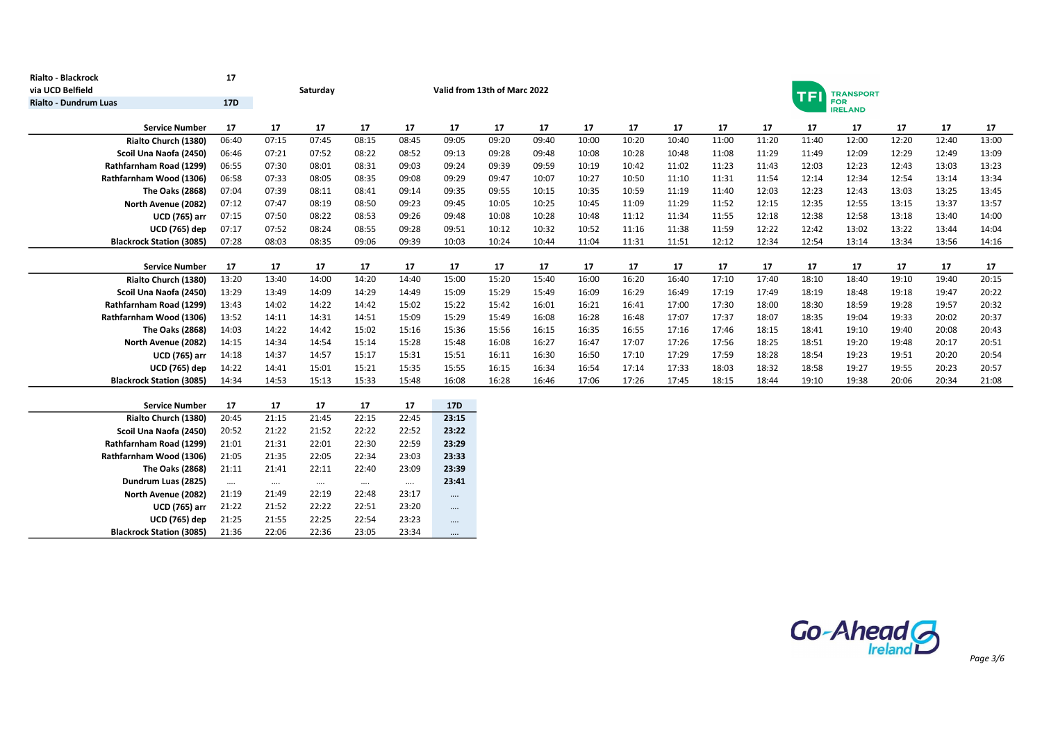| Rialto - Blackrock                                 | 17             |                |                |                |                |                |                              |       |       |       |       |                              |       |       |                  |       |       |       |  |
|----------------------------------------------------|----------------|----------------|----------------|----------------|----------------|----------------|------------------------------|-------|-------|-------|-------|------------------------------|-------|-------|------------------|-------|-------|-------|--|
| via UCD Belfield                                   |                |                | Saturday       |                |                |                | Valid from 13th of Marc 2022 |       |       |       |       |                              |       | Ŧ     | <b>TRANSPORT</b> |       |       |       |  |
| <b>Rialto - Dundrum Luas</b>                       | <b>17D</b>     |                |                |                |                |                |                              |       |       |       |       | <b>FOR</b><br><b>IRELAND</b> |       |       |                  |       |       |       |  |
| <b>Service Number</b>                              | 17             | 17             | 17             | 17             | 17             | 17             | 17                           | 17    | 17    | 17    | 17    | 17                           | 17    | 17    | 17               | 17    | 17    | 17    |  |
| Rialto Church (1380)                               | 06:40          | 07:15          | 07:45          | 08:15          | 08:45          | 09:05          | 09:20                        | 09:40 | 10:00 | 10:20 | 10:40 | 11:00                        | 11:20 | 11:40 | 12:00            | 12:20 | 12:40 | 13:00 |  |
| Scoil Una Naofa (2450)                             | 06:46          | 07:21          | 07:52          | 08:22          | 08:52          | 09:13          | 09:28                        | 09:48 | 10:08 | 10:28 | 10:48 | 11:08                        | 11:29 | 11:49 | 12:09            | 12:29 | 12:49 | 13:09 |  |
| Rathfarnham Road (1299)                            | 06:55          | 07:30          | 08:01          | 08:31          | 09:03          | 09:24          | 09:39                        | 09:59 | 10:19 | 10:42 | 11:02 | 11:23                        | 11:43 | 12:03 | 12:23            | 12:43 | 13:03 | 13:23 |  |
| Rathfarnham Wood (1306)                            | 06:58          | 07:33          | 08:05          | 08:35          | 09:08          | 09:29          | 09:47                        | 10:07 | 10:27 | 10:50 | 11:10 | 11:31                        | 11:54 | 12:14 | 12:34            | 12:54 | 13:14 | 13:34 |  |
| <b>The Oaks (2868)</b>                             | 07:04          | 07:39          | 08:11          | 08:41          | 09:14          | 09:35          | 09:55                        | 10:15 | 10:35 | 10:59 | 11:19 | 11:40                        | 12:03 | 12:23 | 12:43            | 13:03 | 13:25 | 13:45 |  |
| North Avenue (2082)                                | 07:12          | 07:47          | 08:19          | 08:50          | 09:23          | 09:45          | 10:05                        | 10:25 | 10:45 | 11:09 | 11:29 | 11:52                        | 12:15 | 12:35 | 12:55            | 13:15 | 13:37 | 13:57 |  |
| <b>UCD (765) arr</b>                               | 07:15          | 07:50          | 08:22          | 08:53          | 09:26          | 09:48          | 10:08                        | 10:28 | 10:48 | 11:12 | 11:34 | 11:55                        | 12:18 | 12:38 | 12:58            | 13:18 | 13:40 | 14:00 |  |
| <b>UCD (765) dep</b>                               | 07:17          | 07:52          | 08:24          | 08:55          | 09:28          | 09:51          | 10:12                        | 10:32 | 10:52 | 11:16 | 11:38 | 11:59                        | 12:22 | 12:42 | 13:02            | 13:22 | 13:44 | 14:04 |  |
| <b>Blackrock Station (3085)</b>                    | 07:28          | 08:03          | 08:35          | 09:06          | 09:39          | 10:03          | 10:24                        | 10:44 | 11:04 | 11:31 | 11:51 | 12:12                        | 12:34 | 12:54 | 13:14            | 13:34 | 13:56 | 14:16 |  |
|                                                    |                |                |                |                |                |                |                              |       |       |       |       |                              |       |       |                  |       |       |       |  |
| <b>Service Number</b>                              | 17             | 17             | 17             | 17             | 17             | 17             | 17                           | 17    | 17    | 17    | 17    | 17                           | 17    | 17    | 17               | 17    | 17    | 17    |  |
| Rialto Church (1380)                               | 13:20          | 13:40          | 14:00          | 14:20          | 14:40          | 15:00          | 15:20                        | 15:40 | 16:00 | 16:20 | 16:40 | 17:10                        | 17:40 | 18:10 | 18:40            | 19:10 | 19:40 | 20:15 |  |
| Scoil Una Naofa (2450)                             | 13:29          | 13:49          | 14:09          | 14:29          | 14:49          | 15:09          | 15:29                        | 15:49 | 16:09 | 16:29 | 16:49 | 17:19                        | 17:49 | 18:19 | 18:48            | 19:18 | 19:47 | 20:22 |  |
| Rathfarnham Road (1299)                            | 13:43          | 14:02          | 14:22          | 14:42          | 15:02          | 15:22          | 15:42                        | 16:01 | 16:21 | 16:41 | 17:00 | 17:30                        | 18:00 | 18:30 | 18:59            | 19:28 | 19:57 | 20:32 |  |
| Rathfarnham Wood (1306)                            | 13:52          | 14:11          | 14:31          | 14:51          | 15:09          | 15:29          | 15:49                        | 16:08 | 16:28 | 16:48 | 17:07 | 17:37                        | 18:07 | 18:35 | 19:04            | 19:33 | 20:02 | 20:37 |  |
| <b>The Oaks (2868)</b>                             | 14:03          | 14:22          | 14:42          | 15:02          | 15:16          | 15:36          | 15:56                        | 16:15 | 16:35 | 16:55 | 17:16 | 17:46                        | 18:15 | 18:41 | 19:10            | 19:40 | 20:08 | 20:43 |  |
| North Avenue (2082)                                | 14:15          | 14:34          | 14:54          | 15:14          | 15:28          | 15:48          | 16:08                        | 16:27 | 16:47 | 17:07 | 17:26 | 17:56                        | 18:25 | 18:51 | 19:20            | 19:48 | 20:17 | 20:51 |  |
| <b>UCD (765) arr</b>                               | 14:18          | 14:37          | 14:57          | 15:17          | 15:31          | 15:51          | 16:11                        | 16:30 | 16:50 | 17:10 | 17:29 | 17:59                        | 18:28 | 18:54 | 19:23            | 19:51 | 20:20 | 20:54 |  |
| <b>UCD (765) dep</b>                               | 14:22          | 14:41          | 15:01          | 15:21          | 15:35          | 15:55          | 16:15                        | 16:34 | 16:54 | 17:14 | 17:33 | 18:03                        | 18:32 | 18:58 | 19:27            | 19:55 | 20:23 | 20:57 |  |
| <b>Blackrock Station (3085)</b>                    | 14:34          | 14:53          | 15:13          | 15:33          | 15:48          | 16:08          | 16:28                        | 16:46 | 17:06 | 17:26 | 17:45 | 18:15                        | 18:44 | 19:10 | 19:38            | 20:06 | 20:34 | 21:08 |  |
|                                                    |                |                |                |                |                |                |                              |       |       |       |       |                              |       |       |                  |       |       |       |  |
| <b>Service Number</b>                              | 17             | 17             | 17             | 17             | 17             | <b>17D</b>     |                              |       |       |       |       |                              |       |       |                  |       |       |       |  |
| Rialto Church (1380)                               | 20:45          | 21:15          | 21:45          | 22:15          | 22:45          | 23:15          |                              |       |       |       |       |                              |       |       |                  |       |       |       |  |
| Scoil Una Naofa (2450)                             | 20:52          | 21:22          | 21:52          | 22:22          | 22:52          | 23:22          |                              |       |       |       |       |                              |       |       |                  |       |       |       |  |
| Rathfarnham Road (1299)<br>Rathfarnham Wood (1306) | 21:01          | 21:31          | 22:01<br>22:05 | 22:30<br>22:34 | 22:59          | 23:29<br>23:33 |                              |       |       |       |       |                              |       |       |                  |       |       |       |  |
|                                                    | 21:05          | 21:35          |                |                | 23:03          |                |                              |       |       |       |       |                              |       |       |                  |       |       |       |  |
| <b>The Oaks (2868)</b>                             | 21:11          | 21:41          | 22:11          | 22:40          | 23:09          | 23:39          |                              |       |       |       |       |                              |       |       |                  |       |       |       |  |
| Dundrum Luas (2825)                                | $\cdots$       | $\cdots$       | $\cdots$       | $\cdots$       | $\cdots$       | 23:41          |                              |       |       |       |       |                              |       |       |                  |       |       |       |  |
| North Avenue (2082)<br><b>UCD (765) arr</b>        | 21:19<br>21:22 | 21:49<br>21:52 | 22:19<br>22:22 | 22:48<br>22:51 | 23:17          | $\cdots$       |                              |       |       |       |       |                              |       |       |                  |       |       |       |  |
| <b>UCD</b> (765) dep                               | 21:25          | 21:55          | 22:25          | 22:54          | 23:20<br>23:23 | $\cdots$       |                              |       |       |       |       |                              |       |       |                  |       |       |       |  |
|                                                    | 21:36          | 22:06          | 22:36          | 23:05          | 23:34          | $\cdots$       |                              |       |       |       |       |                              |       |       |                  |       |       |       |  |
| <b>Blackrock Station (3085)</b>                    |                |                |                |                |                | $\cdots$       |                              |       |       |       |       |                              |       |       |                  |       |       |       |  |

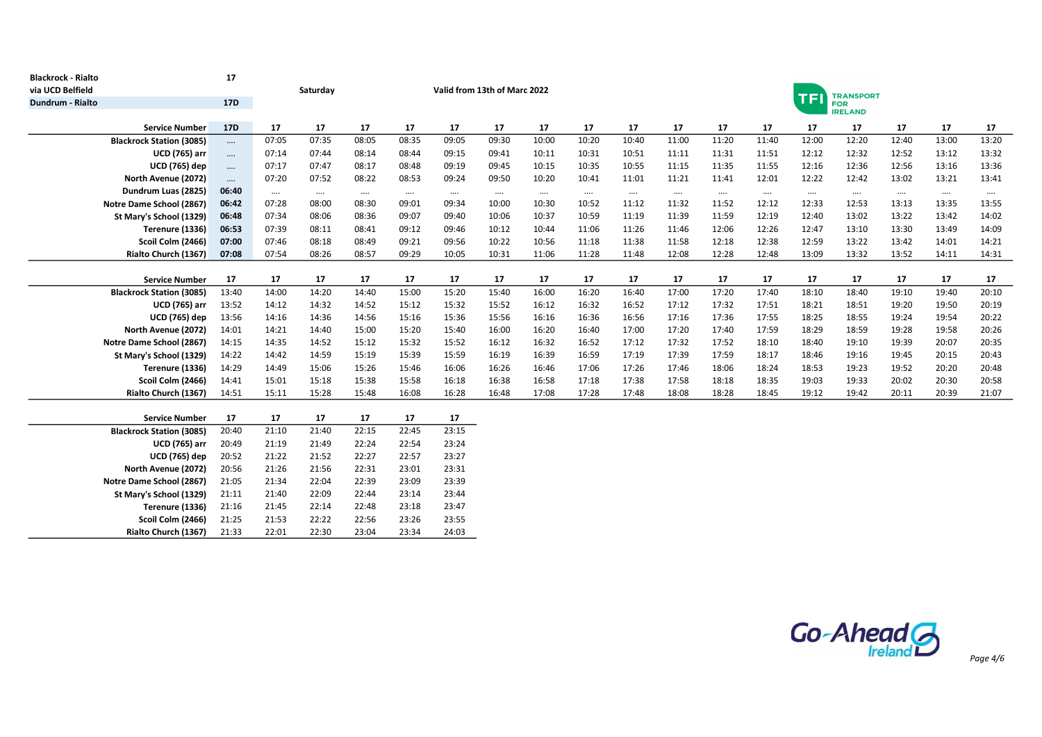| <b>Blackrock - Rialto</b>                    | 17              |                |                |                |                |                |                              |          |          |          |          |                              |          |           |                  |          |          |          |  |  |
|----------------------------------------------|-----------------|----------------|----------------|----------------|----------------|----------------|------------------------------|----------|----------|----------|----------|------------------------------|----------|-----------|------------------|----------|----------|----------|--|--|
| via UCD Belfield                             |                 |                | Saturday       |                |                |                | Valid from 13th of Marc 2022 |          |          |          |          |                              |          | <b>TF</b> | <b>TRANSPORT</b> |          |          |          |  |  |
| Dundrum - Rialto                             | 17 <sub>D</sub> |                |                |                |                |                |                              |          |          |          |          | <b>FOR</b><br><b>IRELAND</b> |          |           |                  |          |          |          |  |  |
| <b>Service Number</b>                        | 17D             | 17             | 17             | 17             | 17             | 17             | 17                           | 17       | 17       | 17       | 17       | 17                           | 17       | 17        | 17               | 17       | 17       | 17       |  |  |
| <b>Blackrock Station (3085)</b>              | $\cdots$        | 07:05          | 07:35          | 08:05          | 08:35          | 09:05          | 09:30                        | 10:00    | 10:20    | 10:40    | 11:00    | 11:20                        | 11:40    | 12:00     | 12:20            | 12:40    | 13:00    | 13:20    |  |  |
| <b>UCD (765) arr</b>                         |                 | 07:14          | 07:44          | 08:14          | 08:44          | 09:15          | 09:41                        | 10:11    | 10:31    | 10:51    | 11:11    | 11:31                        | 11:51    | 12:12     | 12:32            | 12:52    | 13:12    | 13:32    |  |  |
| <b>UCD (765) dep</b>                         | $\cdots$        | 07:17          | 07:47          | 08:17          | 08:48          | 09:19          | 09:45                        | 10:15    | 10:35    | 10:55    | 11:15    | 11:35                        | 11:55    | 12:16     | 12:36            | 12:56    | 13:16    | 13:36    |  |  |
| North Avenue (2072)                          | $\cdots$        | 07:20          | 07:52          | 08:22          | 08:53          | 09:24          | 09:50                        | 10:20    | 10:41    | 11:01    | 11:21    | 11:41                        | 12:01    | 12:22     | 12:42            | 13:02    | 13:21    | 13:41    |  |  |
| Dundrum Luas (2825)                          | 06:40           | $\cdots$       | $\cdots$       | $\cdots$       | $\cdots$       | $\cdots$       | $\cdots$                     | $\cdots$ | $\cdots$ | $\cdots$ | $\cdots$ | $\cdots$                     | $\cdots$ | $\cdots$  | $\cdots$         | $\cdots$ | $\cdots$ | $\cdots$ |  |  |
| Notre Dame School (2867)                     | 06:42           | 07:28          | 08:00          | 08:30          | 09:01          | 09:34          | 10:00                        | 10:30    | 10:52    | 11:12    | 11:32    | 11:52                        | 12:12    | 12:33     | 12:53            | 13:13    | 13:35    | 13:55    |  |  |
| St Mary's School (1329)                      | 06:48           | 07:34          | 08:06          | 08:36          | 09:07          | 09:40          | 10:06                        | 10:37    | 10:59    | 11:19    | 11:39    | 11:59                        | 12:19    | 12:40     | 13:02            | 13:22    | 13:42    | 14:02    |  |  |
| Terenure (1336)                              | 06:53           | 07:39          | 08:11          | 08:41          | 09:12          | 09:46          | 10:12                        | 10:44    | 11:06    | 11:26    | 11:46    | 12:06                        | 12:26    | 12:47     | 13:10            | 13:30    | 13:49    | 14:09    |  |  |
| Scoil Colm (2466)                            | 07:00           | 07:46          | 08:18          | 08:49          | 09:21          | 09:56          | 10:22                        | 10:56    | 11:18    | 11:38    | 11:58    | 12:18                        | 12:38    | 12:59     | 13:22            | 13:42    | 14:01    | 14:21    |  |  |
| Rialto Church (1367)                         | 07:08           | 07:54          | 08:26          | 08:57          | 09:29          | 10:05          | 10:31                        | 11:06    | 11:28    | 11:48    | 12:08    | 12:28                        | 12:48    | 13:09     | 13:32            | 13:52    | 14:11    | 14:31    |  |  |
|                                              |                 |                |                |                |                |                |                              |          |          |          |          |                              |          |           |                  |          |          |          |  |  |
| <b>Service Number</b>                        | 17              | 17             | 17             | 17             | 17             | 17             | 17                           | 17       | 17       | 17       | 17       | 17                           | 17       | 17        | 17               | 17       | 17       | 17       |  |  |
| <b>Blackrock Station (3085)</b>              | 13:40           | 14:00          | 14:20          | 14:40          | 15:00          | 15:20          | 15:40                        | 16:00    | 16:20    | 16:40    | 17:00    | 17:20                        | 17:40    | 18:10     | 18:40            | 19:10    | 19:40    | 20:10    |  |  |
| <b>UCD (765) arr</b>                         | 13:52           | 14:12          | 14:32          | 14:52          | 15:12          | 15:32          | 15:52                        | 16:12    | 16:32    | 16:52    | 17:12    | 17:32                        | 17:51    | 18:21     | 18:51            | 19:20    | 19:50    | 20:19    |  |  |
| <b>UCD (765) dep</b>                         | 13:56           | 14:16          | 14:36          | 14:56          | 15:16          | 15:36          | 15:56                        | 16:16    | 16:36    | 16:56    | 17:16    | 17:36                        | 17:55    | 18:25     | 18:55            | 19:24    | 19:54    | 20:22    |  |  |
| North Avenue (2072)                          | 14:01           | 14:21          | 14:40          | 15:00          | 15:20          | 15:40          | 16:00                        | 16:20    | 16:40    | 17:00    | 17:20    | 17:40                        | 17:59    | 18:29     | 18:59            | 19:28    | 19:58    | 20:26    |  |  |
| Notre Dame School (2867)                     | 14:15           | 14:35          | 14:52          | 15:12          | 15:32          | 15:52          | 16:12                        | 16:32    | 16:52    | 17:12    | 17:32    | 17:52                        | 18:10    | 18:40     | 19:10            | 19:39    | 20:07    | 20:35    |  |  |
| St Mary's School (1329)                      | 14:22           | 14:42          | 14:59          | 15:19          | 15:39          | 15:59          | 16:19                        | 16:39    | 16:59    | 17:19    | 17:39    | 17:59                        | 18:17    | 18:46     | 19:16            | 19:45    | 20:15    | 20:43    |  |  |
| Terenure (1336)                              | 14:29           | 14:49          | 15:06          | 15:26          | 15:46          | 16:06          | 16:26                        | 16:46    | 17:06    | 17:26    | 17:46    | 18:06                        | 18:24    | 18:53     | 19:23            | 19:52    | 20:20    | 20:48    |  |  |
| Scoil Colm (2466)                            | 14:41           | 15:01          | 15:18          | 15:38          | 15:58          | 16:18          | 16:38                        | 16:58    | 17:18    | 17:38    | 17:58    | 18:18                        | 18:35    | 19:03     | 19:33            | 20:02    | 20:30    | 20:58    |  |  |
| Rialto Church (1367)                         | 14:51           | 15:11          | 15:28          | 15:48          | 16:08          | 16:28          | 16:48                        | 17:08    | 17:28    | 17:48    | 18:08    | 18:28                        | 18:45    | 19:12     | 19:42            | 20:11    | 20:39    | 21:07    |  |  |
|                                              |                 |                |                |                |                |                |                              |          |          |          |          |                              |          |           |                  |          |          |          |  |  |
| <b>Service Number</b>                        | 17              | 17             | 17             | 17             | 17             | 17             |                              |          |          |          |          |                              |          |           |                  |          |          |          |  |  |
| <b>Blackrock Station (3085)</b>              | 20:40           | 21:10          | 21:40          | 22:15          | 22:45          | 23:15          |                              |          |          |          |          |                              |          |           |                  |          |          |          |  |  |
| <b>UCD (765) arr</b><br><b>UCD (765) dep</b> | 20:49           | 21:19          | 21:49          | 22:24<br>22:27 | 22:54          | 23:24<br>23:27 |                              |          |          |          |          |                              |          |           |                  |          |          |          |  |  |
| North Avenue (2072)                          | 20:52<br>20:56  | 21:22<br>21:26 | 21:52<br>21:56 | 22:31          | 22:57<br>23:01 | 23:31          |                              |          |          |          |          |                              |          |           |                  |          |          |          |  |  |
| Notre Dame School (2867)                     | 21:05           | 21:34          | 22:04          | 22:39          | 23:09          | 23:39          |                              |          |          |          |          |                              |          |           |                  |          |          |          |  |  |
| St Mary's School (1329)                      | 21:11           | 21:40          | 22:09          | 22:44          | 23:14          | 23:44          |                              |          |          |          |          |                              |          |           |                  |          |          |          |  |  |
| Terenure (1336)                              | 21:16           | 21:45          | 22:14          | 22:48          | 23:18          | 23:47          |                              |          |          |          |          |                              |          |           |                  |          |          |          |  |  |
| Scoil Colm (2466)                            | 21:25           | 21:53          | 22:22          | 22:56          | 23:26          | 23:55          |                              |          |          |          |          |                              |          |           |                  |          |          |          |  |  |
| Rialto Church (1367)                         | 21:33           | 22:01          | 22:30          | 23:04          | 23:34          | 24:03          |                              |          |          |          |          |                              |          |           |                  |          |          |          |  |  |
|                                              |                 |                |                |                |                |                |                              |          |          |          |          |                              |          |           |                  |          |          |          |  |  |

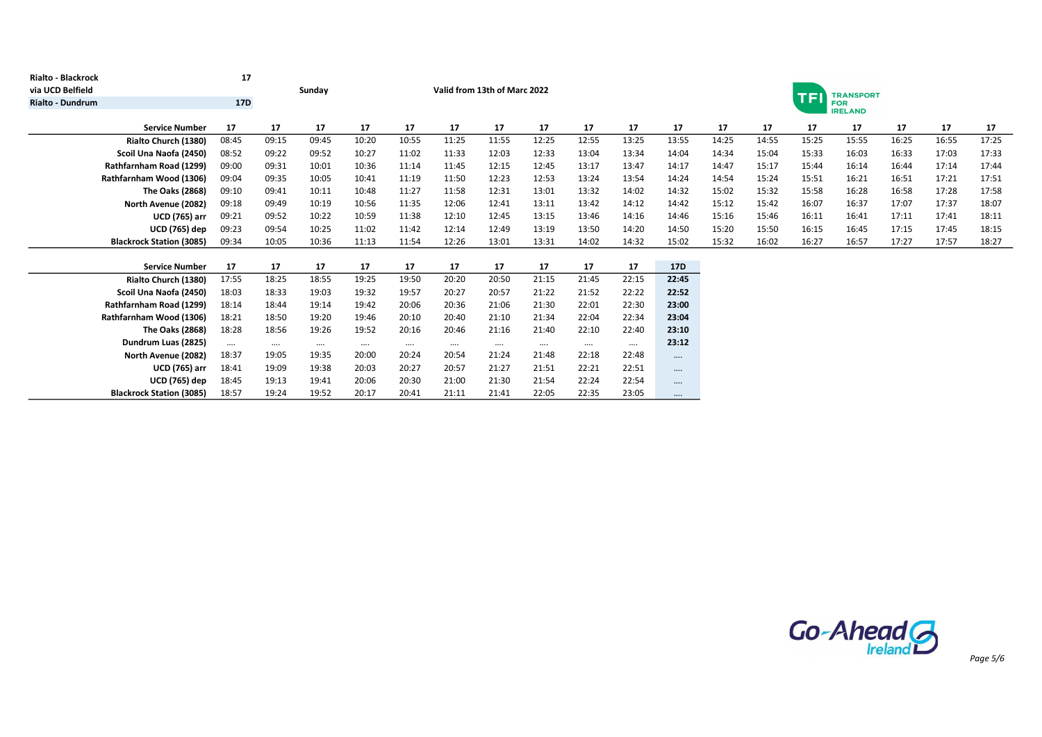| <b>Rialto - Blackrock</b>       | 17         |          |          |          |          |          |                              |          |          |          |            |       |                                |       |                              |       |       |       |  |  |
|---------------------------------|------------|----------|----------|----------|----------|----------|------------------------------|----------|----------|----------|------------|-------|--------------------------------|-------|------------------------------|-------|-------|-------|--|--|
| via UCD Belfield                |            |          | Sunday   |          |          |          | Valid from 13th of Marc 2022 |          |          |          |            |       | <b>TRANSPORT</b><br><b>TFI</b> |       |                              |       |       |       |  |  |
| <b>Rialto - Dundrum</b>         | <b>17D</b> |          |          |          |          |          |                              |          |          |          |            |       |                                |       | <b>FOR</b><br><b>IRELAND</b> |       |       |       |  |  |
|                                 |            |          |          |          |          |          |                              |          |          |          |            |       |                                |       |                              |       |       |       |  |  |
| <b>Service Number</b>           | 17         | 17       | 17       | 17       | 17       | 17       | 17                           | 17       | 17       | 17       | 17         | 17    | 17                             | 17    | 17                           | 17    | 17    | 17    |  |  |
| Rialto Church (1380)            | 08:45      | 09:15    | 09:45    | 10:20    | 10:55    | 11:25    | 11:55                        | 12:25    | 12:55    | 13:25    | 13:55      | 14:25 | 14:55                          | 15:25 | 15:55                        | 16:25 | 16:55 | 17:25 |  |  |
| Scoil Una Naofa (2450)          | 08:52      | 09:22    | 09:52    | 10:27    | 11:02    | 11:33    | 12:03                        | 12:33    | 13:04    | 13:34    | 14:04      | 14:34 | 15:04                          | 15:33 | 16:03                        | 16:33 | 17:03 | 17:33 |  |  |
| Rathfarnham Road (1299)         | 09:00      | 09:31    | 10:01    | 10:36    | 11:14    | 11:45    | 12:15                        | 12:45    | 13:17    | 13:47    | 14:17      | 14:47 | 15:17                          | 15:44 | 16:14                        | 16:44 | 17:14 | 17:44 |  |  |
| Rathfarnham Wood (1306)         | 09:04      | 09:35    | 10:05    | 10:41    | 11:19    | 11:50    | 12:23                        | 12:53    | 13:24    | 13:54    | 14:24      | 14:54 | 15:24                          | 15:51 | 16:21                        | 16:51 | 17:21 | 17:51 |  |  |
| The Oaks (2868)                 | 09:10      | 09:41    | 10:11    | 10:48    | 11:27    | 11:58    | 12:31                        | 13:01    | 13:32    | 14:02    | 14:32      | 15:02 | 15:32                          | 15:58 | 16:28                        | 16:58 | 17:28 | 17:58 |  |  |
| North Avenue (2082)             | 09:18      | 09:49    | 10:19    | 10:56    | 11:35    | 12:06    | 12:41                        | 13:11    | 13:42    | 14:12    | 14:42      | 15:12 | 15:42                          | 16:07 | 16:37                        | 17:07 | 17:37 | 18:07 |  |  |
| <b>UCD (765) arr</b>            | 09:21      | 09:52    | 10:22    | 10:59    | 11:38    | 12:10    | 12:45                        | 13:15    | 13:46    | 14:16    | 14:46      | 15:16 | 15:46                          | 16:11 | 16:41                        | 17:11 | 17:41 | 18:11 |  |  |
| <b>UCD (765) dep</b>            | 09:23      | 09:54    | 10:25    | 11:02    | 11:42    | 12:14    | 12:49                        | 13:19    | 13:50    | 14:20    | 14:50      | 15:20 | 15:50                          | 16:15 | 16:45                        | 17:15 | 17:45 | 18:15 |  |  |
| <b>Blackrock Station (3085)</b> | 09:34      | 10:05    | 10:36    | 11:13    | 11:54    | 12:26    | 13:01                        | 13:31    | 14:02    | 14:32    | 15:02      | 15:32 | 16:02                          | 16:27 | 16:57                        | 17:27 | 17:57 | 18:27 |  |  |
|                                 |            |          |          |          |          |          |                              |          |          |          |            |       |                                |       |                              |       |       |       |  |  |
| <b>Service Number</b>           | 17         | 17       | 17       | 17       | 17       | 17       | 17                           | 17       | 17       | 17       | <b>17D</b> |       |                                |       |                              |       |       |       |  |  |
| Rialto Church (1380)            | 17:55      | 18:25    | 18:55    | 19:25    | 19:50    | 20:20    | 20:50                        | 21:15    | 21:45    | 22:15    | 22:45      |       |                                |       |                              |       |       |       |  |  |
| Scoil Una Naofa (2450)          | 18:03      | 18:33    | 19:03    | 19:32    | 19:57    | 20:27    | 20:57                        | 21:22    | 21:52    | 22:22    | 22:52      |       |                                |       |                              |       |       |       |  |  |
| Rathfarnham Road (1299)         | 18:14      | 18:44    | 19:14    | 19:42    | 20:06    | 20:36    | 21:06                        | 21:30    | 22:01    | 22:30    | 23:00      |       |                                |       |                              |       |       |       |  |  |
| Rathfarnham Wood (1306)         | 18:21      | 18:50    | 19:20    | 19:46    | 20:10    | 20:40    | 21:10                        | 21:34    | 22:04    | 22:34    | 23:04      |       |                                |       |                              |       |       |       |  |  |
| The Oaks (2868)                 | 18:28      | 18:56    | 19:26    | 19:52    | 20:16    | 20:46    | 21:16                        | 21:40    | 22:10    | 22:40    | 23:10      |       |                                |       |                              |       |       |       |  |  |
| Dundrum Luas (2825)             | $\cdots$   | $\cdots$ | $\cdots$ | $\cdots$ | $\cdots$ | $\cdots$ | $\cdots$                     | $\cdots$ | $\cdots$ | $\cdots$ | 23:12      |       |                                |       |                              |       |       |       |  |  |
| North Avenue (2082)             | 18:37      | 19:05    | 19:35    | 20:00    | 20:24    | 20:54    | 21:24                        | 21:48    | 22:18    | 22:48    | $\cdots$   |       |                                |       |                              |       |       |       |  |  |
| <b>UCD (765) arr</b>            | 18:41      | 19:09    | 19:38    | 20:03    | 20:27    | 20:57    | 21:27                        | 21:51    | 22:21    | 22:51    |            |       |                                |       |                              |       |       |       |  |  |
| <b>UCD (765) dep</b>            | 18:45      | 19:13    | 19:41    | 20:06    | 20:30    | 21:00    | 21:30                        | 21:54    | 22:24    | 22:54    | $\cdots$   |       |                                |       |                              |       |       |       |  |  |
| <b>Blackrock Station (3085)</b> | 18:57      | 19:24    | 19:52    | 20:17    | 20:41    | 21:11    | 21:41                        | 22:05    | 22:35    | 23:05    | $\cdots$   |       |                                |       |                              |       |       |       |  |  |